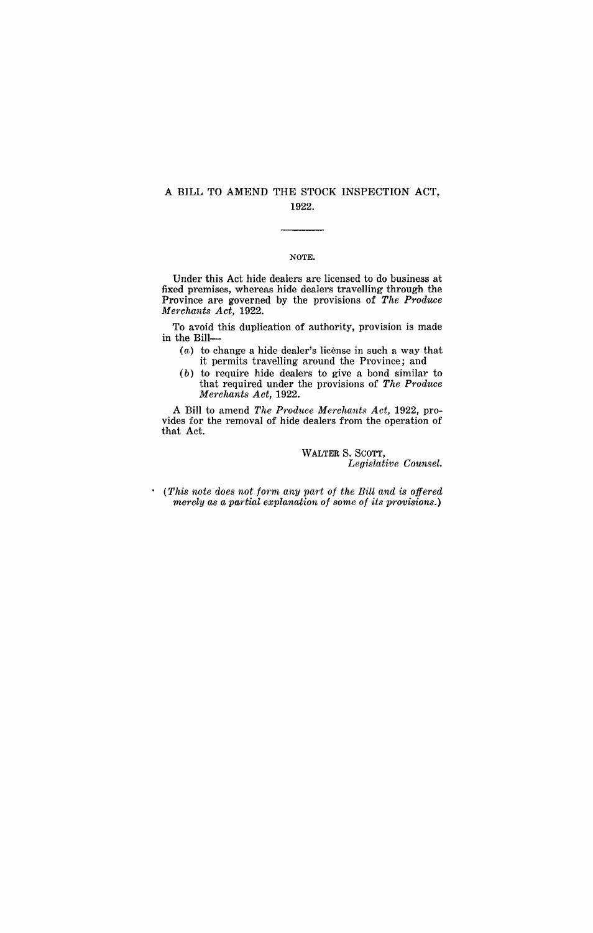## A BILL TO AMEND THE STOCK INSPECTION ACT, 1922.

## NOTE.

Under this Act hide dealers are licensed to do business at fixed premises, whereas hide dealers travelling through the Province are governed by the provisions of *The Produce Merchants Act, 1922.* 

To avoid this duplication of authority, provision is made in the Bill-

- $(a)$  to change a hide dealer's license in such a way that it permits travelling around the Province; and
- $(b)$  to require hide dealers to give a bond similar to that required under the provisions of *The Produce Merchants Act, 1922.*

A Bill to amend *The Produce Me'rchants Act,* 1922, provides for the removal of hide dealers from the operation of that Act.

> WALTER S. SCOTT, *Legislative Counsel.*

• *(This note does not' f01'm any part of the Bill and is offered merely as a partial explanation of some of its provisions.)*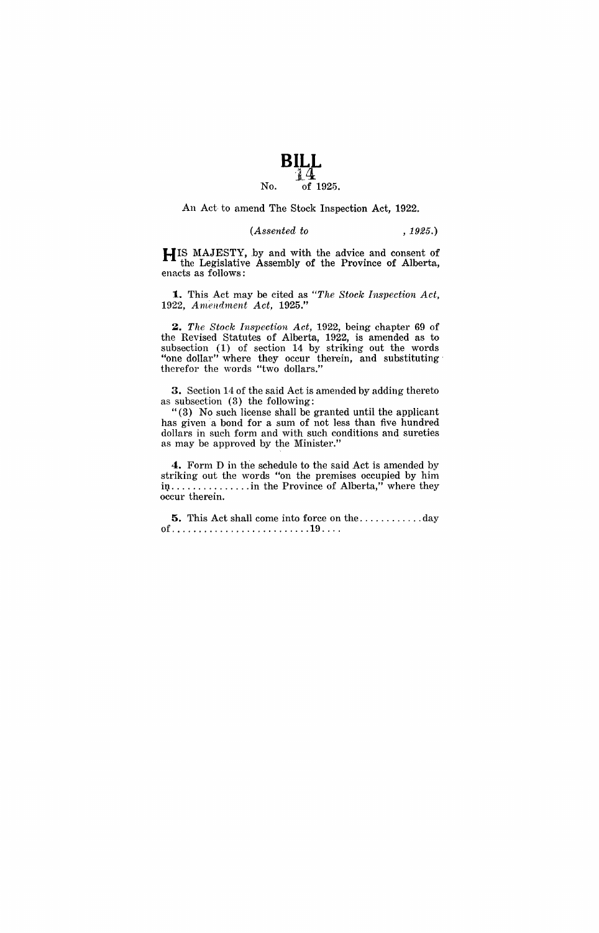

An Act to amend The Stock Inspection Act, 1922.

*(Assented to* , 1925.)

HIS MAJESTY, by and with the advice and consent of the Legislative Assembly of the Province of Alberta, enacts as follows:

1. This Act may be cited as *"The Stock Inspection Act, 1922, A melldment Act, 1925."* 

~. *The Stock Inspection Act,* 1922, being chapter 69 of the Revised Statutes of Alberta, 1922, is amended as to subsection (1) of section 14 by striking out the words "one dollar" where they occur therein, and substituting· therefor the words "two dollars."

3. Section 14 of the said Act is amended by adding thereto as subsection (3) the following:

"(3) No such license shall be granted until the applicant has given a bond for a sum of not less than five hundred dollars in such form and with such conditions and sureties as may be approved by the Minister."

4. Form D in the schedule to the said Act is amended by striking out the words "on the premises occupied by him in................. in the Province of Alberta," where they occur therein.

5. This Act shall come into force on the ............ day of .......................... 19 ... .